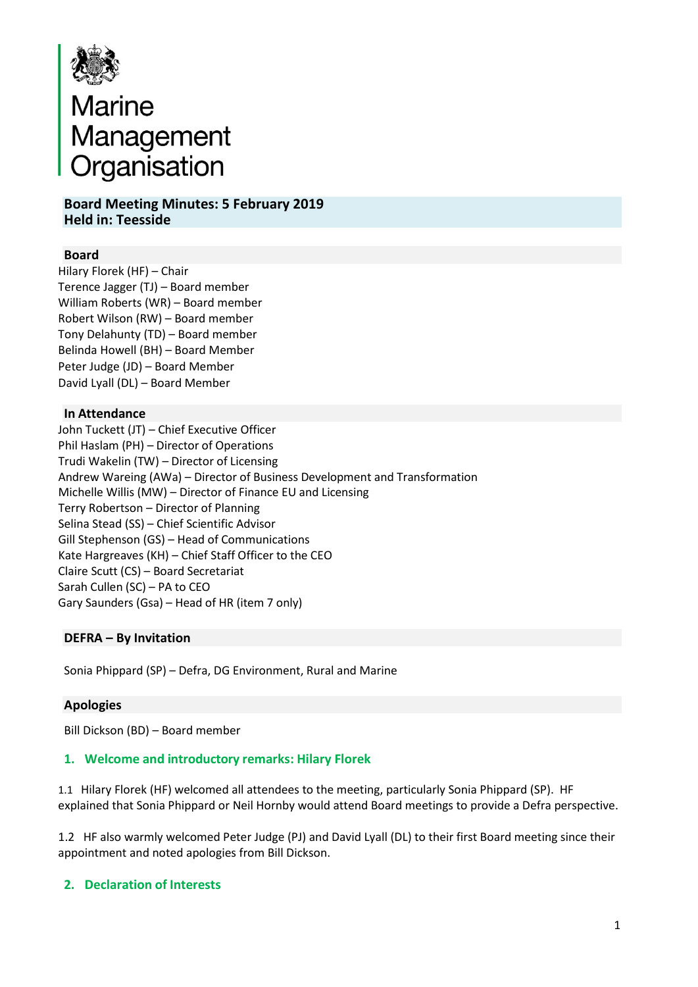

# Marine<br>Management<br>Organisation Organisation

**Board Meeting Minutes: 5 February 2019 Held in: Teesside**

# **Board**

Hilary Florek (HF) – Chair Terence Jagger (TJ) – Board member William Roberts (WR) – Board member Robert Wilson (RW) – Board member Tony Delahunty (TD) – Board member Belinda Howell (BH) – Board Member Peter Judge (JD) – Board Member David Lyall (DL) – Board Member

# **In Attendance**

John Tuckett (JT) – Chief Executive Officer Phil Haslam (PH) – Director of Operations Trudi Wakelin (TW) – Director of Licensing Andrew Wareing (AWa) – Director of Business Development and Transformation Michelle Willis (MW) – Director of Finance EU and Licensing Terry Robertson – Director of Planning Selina Stead (SS) – Chief Scientific Advisor Gill Stephenson (GS) – Head of Communications Kate Hargreaves (KH) – Chief Staff Officer to the CEO Claire Scutt (CS) – Board Secretariat Sarah Cullen (SC) – PA to CEO Gary Saunders (Gsa) – Head of HR (item 7 only)

# **DEFRA – By Invitation**

Sonia Phippard (SP) – Defra, DG Environment, Rural and Marine

# **Apologies**

Bill Dickson (BD) – Board member

# **1. Welcome and introductory remarks: Hilary Florek**

1.1 Hilary Florek (HF) welcomed all attendees to the meeting, particularly Sonia Phippard (SP). HF explained that Sonia Phippard or Neil Hornby would attend Board meetings to provide a Defra perspective.

1.2 HF also warmly welcomed Peter Judge (PJ) and David Lyall (DL) to their first Board meeting since their appointment and noted apologies from Bill Dickson.

# **2. Declaration of Interests**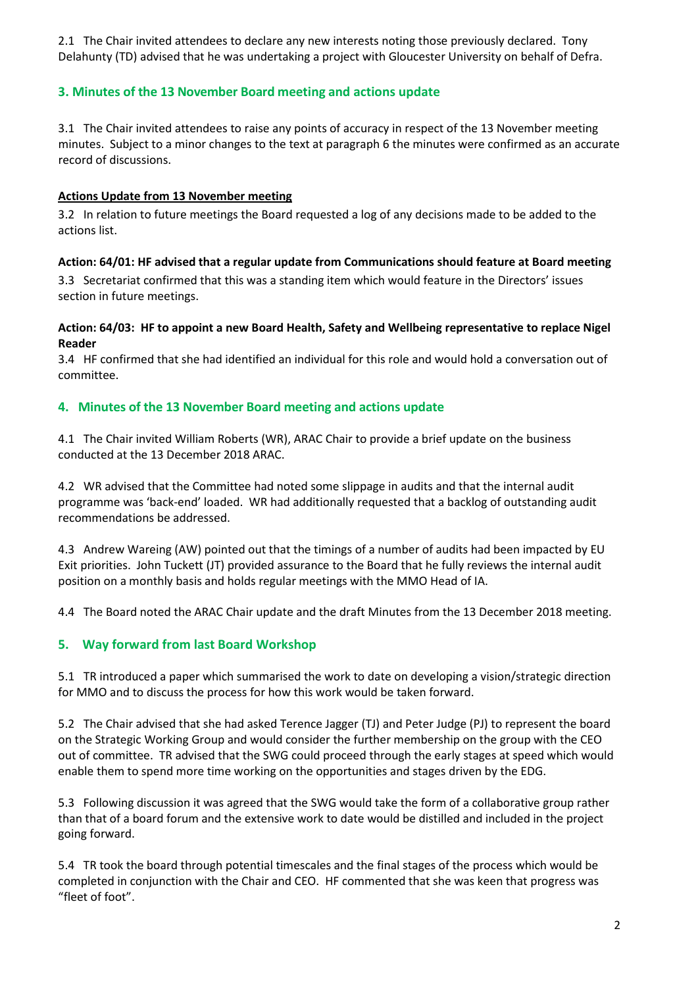2.1 The Chair invited attendees to declare any new interests noting those previously declared. Tony Delahunty (TD) advised that he was undertaking a project with Gloucester University on behalf of Defra.

# **3. Minutes of the 13 November Board meeting and actions update**

3.1 The Chair invited attendees to raise any points of accuracy in respect of the 13 November meeting minutes. Subject to a minor changes to the text at paragraph 6 the minutes were confirmed as an accurate record of discussions.

#### **Actions Update from 13 November meeting**

3.2 In relation to future meetings the Board requested a log of any decisions made to be added to the actions list.

# **Action: 64/01: HF advised that a regular update from Communications should feature at Board meeting**

3.3 Secretariat confirmed that this was a standing item which would feature in the Directors' issues section in future meetings.

#### **Action: 64/03: HF to appoint a new Board Health, Safety and Wellbeing representative to replace Nigel Reader**

3.4 HF confirmed that she had identified an individual for this role and would hold a conversation out of committee.

# **4. Minutes of the 13 November Board meeting and actions update**

4.1 The Chair invited William Roberts (WR), ARAC Chair to provide a brief update on the business conducted at the 13 December 2018 ARAC.

4.2 WR advised that the Committee had noted some slippage in audits and that the internal audit programme was 'back-end' loaded. WR had additionally requested that a backlog of outstanding audit recommendations be addressed.

4.3 Andrew Wareing (AW) pointed out that the timings of a number of audits had been impacted by EU Exit priorities. John Tuckett (JT) provided assurance to the Board that he fully reviews the internal audit position on a monthly basis and holds regular meetings with the MMO Head of IA.

4.4 The Board noted the ARAC Chair update and the draft Minutes from the 13 December 2018 meeting.

# **5. Way forward from last Board Workshop**

5.1 TR introduced a paper which summarised the work to date on developing a vision/strategic direction for MMO and to discuss the process for how this work would be taken forward.

5.2 The Chair advised that she had asked Terence Jagger (TJ) and Peter Judge (PJ) to represent the board on the Strategic Working Group and would consider the further membership on the group with the CEO out of committee. TR advised that the SWG could proceed through the early stages at speed which would enable them to spend more time working on the opportunities and stages driven by the EDG.

5.3 Following discussion it was agreed that the SWG would take the form of a collaborative group rather than that of a board forum and the extensive work to date would be distilled and included in the project going forward.

5.4 TR took the board through potential timescales and the final stages of the process which would be completed in conjunction with the Chair and CEO. HF commented that she was keen that progress was "fleet of foot".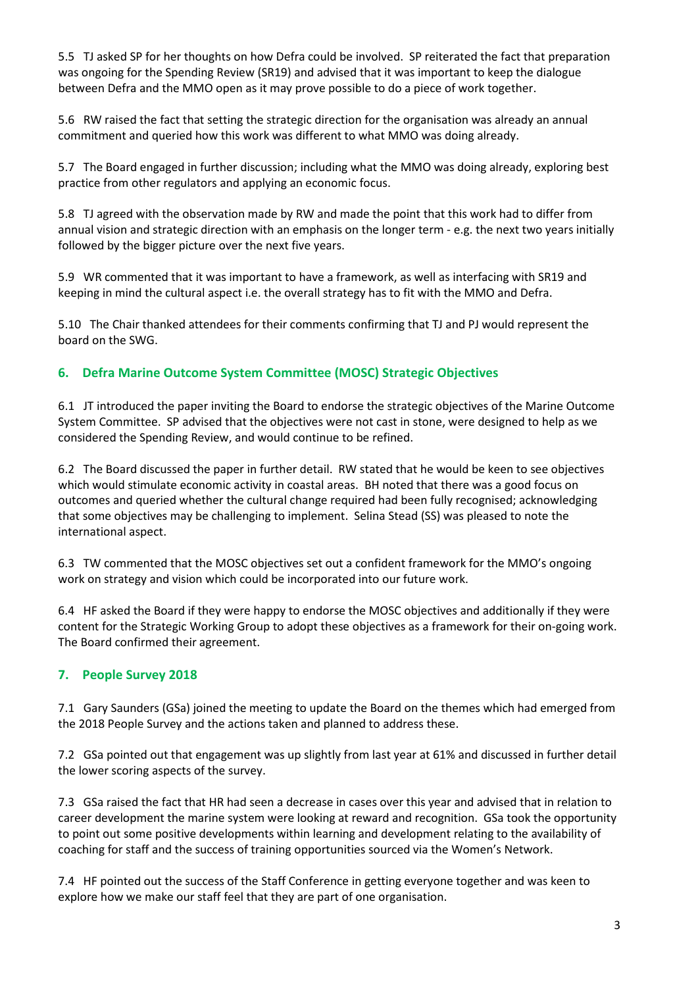5.5 TJ asked SP for her thoughts on how Defra could be involved. SP reiterated the fact that preparation was ongoing for the Spending Review (SR19) and advised that it was important to keep the dialogue between Defra and the MMO open as it may prove possible to do a piece of work together.

5.6 RW raised the fact that setting the strategic direction for the organisation was already an annual commitment and queried how this work was different to what MMO was doing already.

5.7 The Board engaged in further discussion; including what the MMO was doing already, exploring best practice from other regulators and applying an economic focus.

5.8 TJ agreed with the observation made by RW and made the point that this work had to differ from annual vision and strategic direction with an emphasis on the longer term - e.g. the next two years initially followed by the bigger picture over the next five years.

5.9 WR commented that it was important to have a framework, as well as interfacing with SR19 and keeping in mind the cultural aspect i.e. the overall strategy has to fit with the MMO and Defra.

5.10 The Chair thanked attendees for their comments confirming that TJ and PJ would represent the board on the SWG.

# **6. Defra Marine Outcome System Committee (MOSC) Strategic Objectives**

6.1 JT introduced the paper inviting the Board to endorse the strategic objectives of the Marine Outcome System Committee. SP advised that the objectives were not cast in stone, were designed to help as we considered the Spending Review, and would continue to be refined.

6.2 The Board discussed the paper in further detail. RW stated that he would be keen to see objectives which would stimulate economic activity in coastal areas. BH noted that there was a good focus on outcomes and queried whether the cultural change required had been fully recognised; acknowledging that some objectives may be challenging to implement. Selina Stead (SS) was pleased to note the international aspect.

6.3 TW commented that the MOSC objectives set out a confident framework for the MMO's ongoing work on strategy and vision which could be incorporated into our future work.

6.4 HF asked the Board if they were happy to endorse the MOSC objectives and additionally if they were content for the Strategic Working Group to adopt these objectives as a framework for their on-going work. The Board confirmed their agreement.

# **7. People Survey 2018**

7.1 Gary Saunders (GSa) joined the meeting to update the Board on the themes which had emerged from the 2018 People Survey and the actions taken and planned to address these.

7.2 GSa pointed out that engagement was up slightly from last year at 61% and discussed in further detail the lower scoring aspects of the survey.

7.3 GSa raised the fact that HR had seen a decrease in cases over this year and advised that in relation to career development the marine system were looking at reward and recognition. GSa took the opportunity to point out some positive developments within learning and development relating to the availability of coaching for staff and the success of training opportunities sourced via the Women's Network.

7.4 HF pointed out the success of the Staff Conference in getting everyone together and was keen to explore how we make our staff feel that they are part of one organisation.